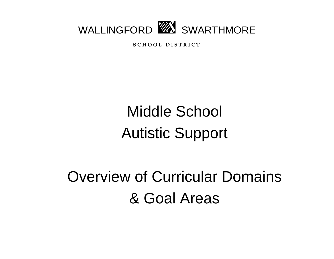

**S C H O O L D I S T R I C T**

# Middle School Autistic Support

# Overview of Curricular Domains & Goal Areas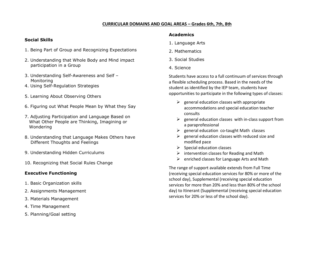## **CURRICULAR DOMAINS AND GOAL AREAS – Grades 6th, 7th, 8th**

### **Social Skills**

- 1. Being Part of Group and Recognizing Expectations
- 2. Understanding that Whole Body and Mind impact participation in a Group
- 3. Understanding Self-Awareness and Self Monitoring
- 4. Using Self-Regulation Strategies
- 5. Learning About Observing Others
- 6. Figuring out What People Mean by What they Say
- 7. Adjusting Participation and Language Based on What Other People are Thinking, Imagining or Wondering
- 8. Understanding that Language Makes Others have Different Thoughts and Feelings
- 9. Understanding Hidden Curriculums
- 10. Recognizing that Social Rules Change

### **Executive Functioning**

- 1. Basic Organization skills
- 2. Assignments Management
- 3. Materials Management
- 4. Time Management
- 5. Planning/Goal setting

#### **Academics**

- 1. Language Arts
- 2. Mathematics
- 3. Social Studies
- 4. Science

Students have access to a full continuum of services through a flexible scheduling process. Based in the needs of the student as identified by the IEP team, students have opportunities to participate in the following types of classes:

- $\triangleright$  general education classes with appropriate accommodations and special education teacher consults
- $\triangleright$  general education classes with in-class support from a paraprofessional
- $\triangleright$  general education co-taught Math classes
- $\triangleright$  general education classes with reduced size and modified pace
- $\triangleright$  Special education classes
- $\triangleright$  intervention classes for Reading and Math
- $\triangleright$  enriched classes for Language Arts and Math

The range of support available extends from Full Time (receiving special education services for 80% or more of the school day), Supplemental (receiving special education services for more than 20% and less than 80% of the school day) to Itinerant (Supplemental (receiving special education services for 20% or less of the school day).